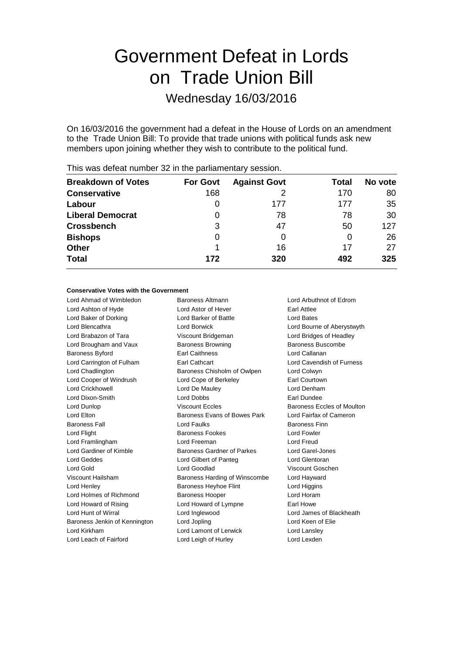# Government Defeat in Lords on Trade Union Bill

Wednesday 16/03/2016

On 16/03/2016 the government had a defeat in the House of Lords on an amendment to the Trade Union Bill: To provide that trade unions with political funds ask new members upon joining whether they wish to contribute to the political fund.

| <b>Breakdown of Votes</b> | <b>For Govt</b> | <b>Against Govt</b> | Total | No vote |
|---------------------------|-----------------|---------------------|-------|---------|
| <b>Conservative</b>       | 168             |                     | 170   | 80      |
| Labour                    | 0               | 177                 | 177   | 35      |
| <b>Liberal Democrat</b>   | 0               | 78                  | 78    | 30      |
| <b>Crossbench</b>         | 3               | 47                  | 50    | 127     |
| <b>Bishops</b>            | 0               | 0                   |       | 26      |
| <b>Other</b>              |                 | 16                  | 17    | 27      |
| <b>Total</b>              | 172             | 320                 | 492   | 325     |
|                           |                 |                     |       |         |

This was defeat number 32 in the parliamentary session.

#### **Conservative Votes with the Government**

Lord Ahmad of Wimbledon Baroness Altmann Lord Arbuthnot of Edrom Lord Ashton of Hyde **Lord Astor of Hever** Earl Attlee Lord Baker of Dorking Lord Barker of Battle Lord Bates Lord Blencathra Lord Borwick Lord Bourne of Aberystwyth Lord Brabazon of Tara Viscount Bridgeman Lord Bridges of Headley Lord Brougham and Vaux Baroness Browning Baroness Buscombe Baroness Byford **Earl Caithness** Earl Caithness Lord Callanan Lord Carrington of Fulham Earl Cathcart Lord Cavendish of Furness Lord Chadlington Baroness Chisholm of Owlpen Lord Colwyn Lord Cooper of Windrush Lord Cope of Berkeley Earl Courtown Lord Crickhowell Lord De Mauley Lord Denham Lord Dixon-Smith Lord Dobbs Earl Dundee Lord Dunlop Viscount Eccles Baroness Eccles of Moulton Lord Elton **Baroness Evans of Bowes Park** Lord Fairfax of Cameron Baroness Fall Lord Faulks Baroness Finn Lord Flight **Baroness Fookes** Lord Fowler Lord Framlingham Lord Freeman Lord Freud Lord Gardiner of Kimble Baroness Gardner of Parkes Lord Garel-Jones Lord Geddes Lord Gilbert of Panteg Lord Glentoran Lord Gold Lord Goodlad Viscount Goschen Viscount Hailsham Baroness Harding of Winscombe Lord Hayward Lord Henley **Baroness Heyhoe Flint** Lord Higgins Lord Higgins Lord Holmes of Richmond Baroness Hooper **Baroness** Hooper Lord Howard of Rising Lord Howard of Lympne Earl Howe Lord Hunt of Wirral Lord Inglewood Lord James of Blackheath Baroness Jenkin of Kennington Lord Jopling Corporation Lord Keen of Elie Lord Kirkham Lord Lamont of Lerwick Lord Lansley Lord Leach of Fairford **Lord Leigh of Hurley** Lord Lexden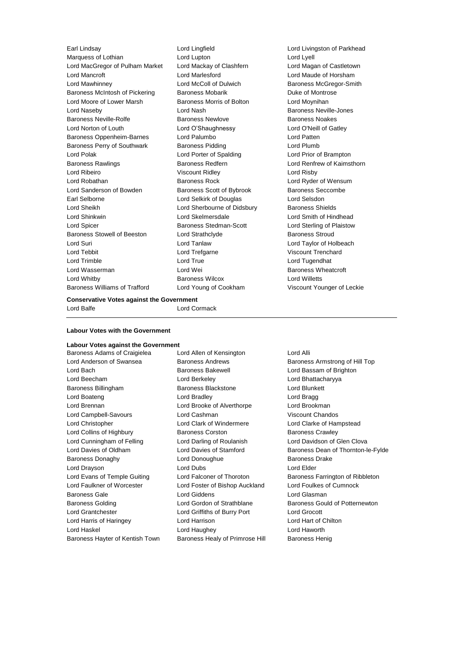Earl Lindsay Lord Lingfield Lord Livingston of Parkhead Marquess of Lothian **Lord Lupton** Lord Lupton **Lord Lyell** Lord Lyell Lord MacGregor of Pulham Market Lord Mackay of Clashfern Lord Magan of Castletown Lord Mancroft Lord Marlesford Lord Maude of Horsham Lord Mawhinney **Lord McColl of Dulwich Baroness McGregor-Smith** Baroness McGregor-Smith Baroness McIntosh of Pickering Baroness Mobarik Baroness Montrose Lord Moore of Lower Marsh Baroness Morris of Bolton Lord Moynihan Lord Naseby Lord Nash Baroness Neville-Jones Baroness Neville-Rolfe Baroness Newlove Baroness Noakes Lord Norton of Louth Lord O'Shaughnessy Lord O'Neill of Gatley Baroness Oppenheim-Barnes Lord Palumbo Lord Patten Baroness Perry of Southwark Baroness Pidding Lord Plumb Lord Polak Lord Porter of Spalding Lord Prior of Brampton Baroness Rawlings **Baroness Redfern Baroness Redfern Lord Renfrew of Kaimsthorn** Lord Ribeiro Viscount Ridley Lord Risby Lord Robathan Baroness Rock Lord Ryder of Wensum Lord Sanderson of Bowden Baroness Scott of Bybrook Baroness Seccombe Earl Selborne Lord Selkirk of Douglas Lord Selsdon Lord Sheikh **Lord Sherbourne of Didsbury** Baroness Shields Lord Shinkwin Lord Skelmersdale Lord Smith of Hindhead Lord Spicer Baroness Stedman-Scott Lord Sterling of Plaistow Baroness Stowell of Beeston Lord Strathclyde **Baroness Stroud** Lord Suri Lord Tanlaw Lord Taylor of Holbeach Lord Tebbit Lord Trefgarne Viscount Trenchard Lord Trimble **Lord True** Lord True Lord Tugendhat Lord Wasserman **Lord Wei** Baroness Wheatcroft Lord Whitby Baroness Wilcox Lord Willetts Baroness Williams of Trafford Lord Young of Cookham Viscount Younger of Leckie

#### **Conservative Votes against the Government**

Lord Balfe Lord Cormack

#### **Labour Votes with the Government**

# **Labour Votes against the Government**

Lord Anderson of Swansea **Baroness Andrews** Baroness Andrews Baroness Armstrong of Hill Top Lord Bach Baroness Bakewell Lord Bassam of Brighton Lord Beecham Lord Berkeley Lord Bhattacharyya Baroness Billingham Baroness Blackstone Lord Blunkett Lord Boateng Lord Bradley Lord Bragg Lord Brennan Lord Brooke of Alverthorpe Lord Brookman Lord Campbell-Savours Lord Cashman Viscount Chandos Lord Christopher Lord Clark of Windermere Lord Clarke of Hampstead Lord Collins of Highbury **Baroness Corston** Baroness Corston Baroness Crawley Lord Cunningham of Felling Lord Darling of Roulanish Lord Davidson of Glen Clova Baroness Donaghy **Baroness Donaghy** Lord Donoughue **Baroness Drake** Lord Drayson Lord Dubs Lord Elder Lord Evans of Temple Guiting Lord Falconer of Thoroton Baroness Farrington of Ribbleton Lord Faulkner of Worcester Lord Foster of Bishop Auckland Lord Foulkes of Cumnock Baroness Gale **Lord Giddens** Lord Giddens **Lord Giddens** Lord Glasman Baroness Golding **Lord Gordon of Strathblane** Baroness Gould of Potternewton Lord Grantchester Lord Griffiths of Burry Port Lord Grocott Lord Harris of Haringey Lord Harrison Lord Hart of Chilton Lord Haskel Lord Haughey Lord Haworth

Baroness Adams of Craigielea Lord Allen of Kensington Lord Alli Baroness Hayter of Kentish Town Baroness Healy of Primrose Hill Baroness Henig

Lord Davies of Oldham Lord Davies of Stamford Baroness Dean of Thornton-le-Fylde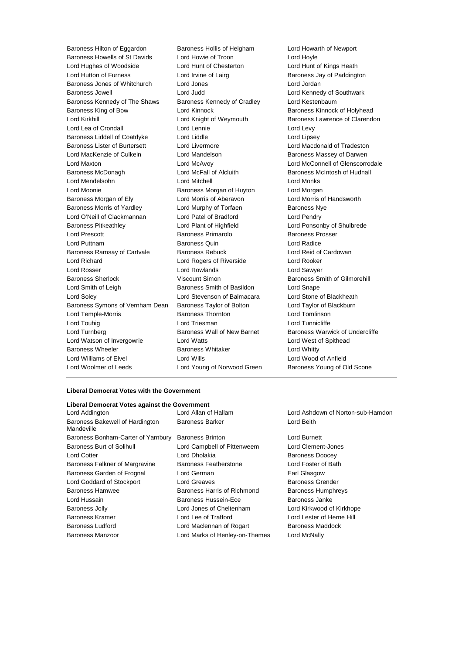Baroness Hilton of Eggardon Baroness Hollis of Heigham Lord Howarth of Newport Baroness Howells of St Davids Lord Howie of Troon Lord Hoyle Lord Hughes of Woodside Lord Hunt of Chesterton Lord Hunt of Kings Heath Lord Hutton of Furness **Lord Irvine of Lairg** Baroness Jay of Paddington Baroness Jones of Whitchurch Lord Jones Lord Jordan Baroness Jowell **Lord Lord Judd Lord Communist Communist Communist Communist Communist Communist Communist Communist Communist Communist Communist Communist Communist Communist Communist Communist Communist Communist Com** Baroness Kennedy of The Shaws Baroness Kennedy of Cradley Lord Kestenbaum Baroness King of Bow Lord Kinnock Baroness Kinnock of Holyhead Lord Kirkhill **Lord Kirkhill** Lord Knight of Weymouth **Baroness Lawrence of Clarendon** Lord Lea of Crondall **Lord Lennie** Lord Levy Lord Levy Baroness Liddell of Coatdyke Lord Liddle Lord Linesey Baroness Lister of Burtersett Lord Livermore Lord Macdonald of Tradeston Lord MacKenzie of Culkein Lord Mandelson and Baroness Massey of Darwen Lord Maxton Lord McAvoy Lord McConnell of Glenscorrodale Baroness McDonagh **Lord McFall of Alcluith** Baroness McIntosh of Hudnall Lord Mendelsohn Lord Mitchell Lord Monks Lord Moonie Baroness Morgan of Huyton Lord Morgan Baroness Morgan of Ely **Lord Morris of Aberavon** Lord Morris of Handsworth Baroness Morris of Yardley **Lord Murphy of Torfaen** Baroness Nye Lord O'Neill of Clackmannan Lord Patel of Bradford Lord Pendry Baroness Pitkeathley Lord Plant of Highfield Lord Ponsonby of Shulbrede Lord Prescott Baroness Primarolo Baroness Prosser Lord Puttnam Baroness Quin Lord Radice Baroness Ramsay of Cartvale Baroness Rebuck Lord Reid of Cardowan Lord Richard Lord Rogers of Riverside Lord Rooker Lord Rosser Lord Rowlands Lord Sawyer Baroness Sherlock Viscount Simon Baroness Smith of Gilmorehill Lord Smith of Leigh Baroness Smith of Basildon Lord Snape Lord Soley Lord Stevenson of Balmacara Lord Stone of Blackheath Baroness Symons of Vernham Dean Baroness Taylor of Bolton Lord Taylor of Blackburn Lord Temple-Morris Baroness Thornton Lord Tomlinson Lord Touhig Lord Triesman Lord Tunnicliffe Lord Turnberg **Baroness Wall of New Barnet Baroness Warwick of Undercliffe** Lord Watson of Invergowrie Lord Watts Lord West of Spithead Baroness Wheeler **Baroness Whitaker** Lord Whitty Lord Williams of Elvel Lord Wills Lord Wood of Anfield Lord Woolmer of Leeds **Lord Young of Norwood Green** Baroness Young of Old Scone

#### **Liberal Democrat Votes with the Government**

#### **Liberal Democrat Votes against the Government**

| Lord Addington                                | LOID Allan OL Hallam           | LOID ASHOOW         |
|-----------------------------------------------|--------------------------------|---------------------|
| Baroness Bakewell of Hardington<br>Mandeville | <b>Baroness Barker</b>         | Lord Beith          |
| Baroness Bonham-Carter of Yarnbury            | <b>Baroness Brinton</b>        | <b>Lord Burnett</b> |
| <b>Baroness Burt of Solihull</b>              | Lord Campbell of Pittenweem    | Lord Clemen         |
| <b>Lord Cotter</b>                            | Lord Dholakia                  | <b>Baroness Do</b>  |
| Baroness Falkner of Margravine                | <b>Baroness Featherstone</b>   | Lord Foster o       |
| Baroness Garden of Frognal                    | Lord German                    | Earl Glasgov        |
| Lord Goddard of Stockport                     | <b>Lord Greaves</b>            | <b>Baroness Gr</b>  |
| <b>Baroness Hamwee</b>                        | Baroness Harris of Richmond    | Baroness Hu         |
| Lord Hussain                                  | <b>Baroness Hussein-Ece</b>    | Baroness Ja         |
| <b>Baroness Jolly</b>                         | Lord Jones of Cheltenham       | Lord Kirkwoc        |
| <b>Baroness Kramer</b>                        | Lord Lee of Trafford           | Lord Lester o       |
| <b>Baroness Ludford</b>                       | Lord Maclennan of Rogart       | <b>Baroness Ma</b>  |
| <b>Baroness Manzoor</b>                       | Lord Marks of Henley-on-Thames | Lord McNally        |
|                                               |                                |                     |

Lord Addington Lord Allan of Hallam Lord Ashdown of Norton-sub-Hamdon Lord Beith

> Pittenweem Lord Clement-Jones Baroness Doocey tone **Earner Exercise Falkner Earnerstone Earners** Lord Foster of Bath Earl Glasgow Baroness Grender Richmond Baroness Humphreys Ece Baroness Janke tenham **Lord Kirkwood of Kirkhope** d **Baroness Cord Lester of Herne Hill** Rogart Baroness Maddock ey-on-Thames Lord McNally